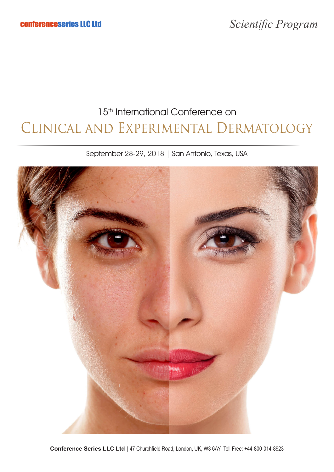# Clinical and Experimental Dermatology 15<sup>th</sup> International Conference on

September 28-29, 2018 | San Antonio, Texas, USA

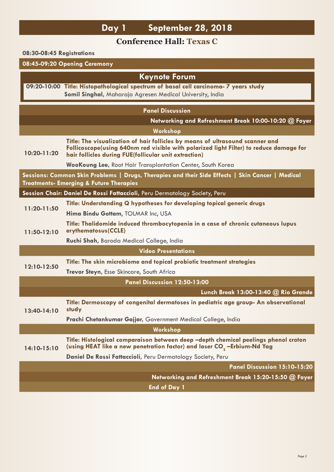## **Day 1 September 28, 2018**

### **Conference Hall: Texas C**

#### **08:30-08:45 Registrations**

### **08:45-09:20 Opening Ceremony**

| <b>Keynote Forum</b>                                                                                                                                   |                                                                                                                                                                                                                                  |  |
|--------------------------------------------------------------------------------------------------------------------------------------------------------|----------------------------------------------------------------------------------------------------------------------------------------------------------------------------------------------------------------------------------|--|
|                                                                                                                                                        | 09:20-10:00 Title: Histopathological spectrum of basal cell carcinoma- 7 years study<br>Somil Singhal, Maharaja Agresen Medical University, India                                                                                |  |
| <b>Panel Discussion</b>                                                                                                                                |                                                                                                                                                                                                                                  |  |
|                                                                                                                                                        | Networking and Refreshment Break 10:00-10:20 @ Foyer                                                                                                                                                                             |  |
|                                                                                                                                                        | Workshop                                                                                                                                                                                                                         |  |
| 10:20-11:20                                                                                                                                            | Title: The visualization of hair follicles by means of ultrasound scanner and<br>Follicoscope(using 640nm red visible with polarized light Filter) to reduce damage for<br>hair follicles during FUE(follicular unit extraction) |  |
|                                                                                                                                                        | <b>WooKoung Lee, Root Hair Transplantation Center, South Korea</b>                                                                                                                                                               |  |
| Sessions: Common Skin Problems   Drugs, Therapies and their Side Effects   Skin Cancer   Medical<br><b>Treatments- Emerging &amp; Future Therapies</b> |                                                                                                                                                                                                                                  |  |
|                                                                                                                                                        | Session Chair: Daniel De Rossi Fattaccioli, Peru Dermatology Society, Peru                                                                                                                                                       |  |
| 11:20-11:50                                                                                                                                            | Title: Understanding Q hypotheses for developing topical generic drugs                                                                                                                                                           |  |
|                                                                                                                                                        | Hima Bindu Gottam, TOLMAR Inc, USA                                                                                                                                                                                               |  |
| 11:50-12:10                                                                                                                                            | Title: Thalidomide induced thrombocytopenia in a case of chronic cutaneous lupus<br>erythematosus(CCLE)                                                                                                                          |  |
|                                                                                                                                                        | Ruchi Shah, Baroda Medical College, India                                                                                                                                                                                        |  |
|                                                                                                                                                        | <b>Video Presentations</b>                                                                                                                                                                                                       |  |
| 12:10-12:50                                                                                                                                            | Title: The skin microbiome and topical probiotic treatment strategies                                                                                                                                                            |  |
|                                                                                                                                                        | Trevor Steyn, Esse Skincare, South Africa                                                                                                                                                                                        |  |
|                                                                                                                                                        | Panel Discussion 12:50-13:00                                                                                                                                                                                                     |  |
|                                                                                                                                                        | Lunch Break 13:00-13:40 @ Rio Grande                                                                                                                                                                                             |  |
| 13:40-14:10                                                                                                                                            | Title: Dermoscopy of congenital dermatoses in pediatric age group- An observational<br>study                                                                                                                                     |  |
|                                                                                                                                                        | Prachi Chetankumar Gajjar, Government Medical College, India                                                                                                                                                                     |  |
| Workshop                                                                                                                                               |                                                                                                                                                                                                                                  |  |
| 14:10-15:10                                                                                                                                            | Title: Histological comparaison between deep -depth chemical peelings phenol croton<br>(using HEAT like a new penetration factor) and laser CO <sub>2</sub> -Erbium-Nd Yag                                                       |  |
|                                                                                                                                                        | Daniel De Rossi Fattaccioli, Peru Dermatology Society, Peru                                                                                                                                                                      |  |
|                                                                                                                                                        | Panel Discussion 15:10-15:20                                                                                                                                                                                                     |  |
|                                                                                                                                                        | Networking and Refreshment Break 15:20-15:50 @ Foyer                                                                                                                                                                             |  |
|                                                                                                                                                        | <b>End of Day 1</b>                                                                                                                                                                                                              |  |